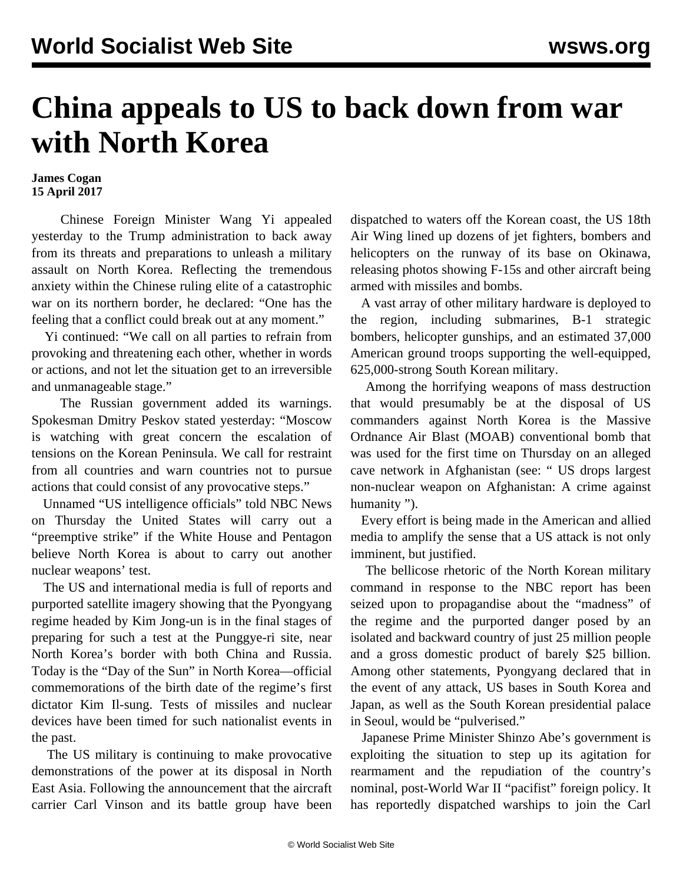## **China appeals to US to back down from war with North Korea**

## **James Cogan 15 April 2017**

 Chinese Foreign Minister Wang Yi appealed yesterday to the Trump administration to back away from its threats and preparations to unleash a military assault on North Korea. Reflecting the tremendous anxiety within the Chinese ruling elite of a catastrophic war on its northern border, he declared: "One has the feeling that a conflict could break out at any moment."

 Yi continued: "We call on all parties to refrain from provoking and threatening each other, whether in words or actions, and not let the situation get to an irreversible and unmanageable stage."

 The Russian government added its warnings. Spokesman Dmitry Peskov stated yesterday: "Moscow is watching with great concern the escalation of tensions on the Korean Peninsula. We call for restraint from all countries and warn countries not to pursue actions that could consist of any provocative steps."

 Unnamed "US intelligence officials" told NBC News on Thursday the United States will carry out a "preemptive strike" if the White House and Pentagon believe North Korea is about to carry out another nuclear weapons' test.

 The US and international media is full of reports and purported satellite imagery showing that the Pyongyang regime headed by Kim Jong-un is in the final stages of preparing for such a test at the Punggye-ri site, near North Korea's border with both China and Russia. Today is the "Day of the Sun" in North Korea—official commemorations of the birth date of the regime's first dictator Kim Il-sung. Tests of missiles and nuclear devices have been timed for such nationalist events in the past.

 The US military is continuing to make provocative demonstrations of the power at its disposal in North East Asia. Following the announcement that the aircraft carrier Carl Vinson and its battle group have been

dispatched to waters off the Korean coast, the US 18th Air Wing lined up dozens of jet fighters, bombers and helicopters on the runway of its base on Okinawa, releasing photos showing F-15s and other aircraft being armed with missiles and bombs.

 A vast array of other military hardware is deployed to the region, including submarines, B-1 strategic bombers, helicopter gunships, and an estimated 37,000 American ground troops supporting the well-equipped, 625,000-strong South Korean military.

 Among the horrifying weapons of mass destruction that would presumably be at the disposal of US commanders against North Korea is the Massive Ordnance Air Blast (MOAB) conventional bomb that was used for the first time on Thursday on an alleged cave network in Afghanistan (see: " [US drops largest](/en/articles/2017/04/14/pers-a14.html) [non-nuclear weapon on Afghanistan: A crime against](/en/articles/2017/04/14/pers-a14.html) [humanity](/en/articles/2017/04/14/pers-a14.html) ").

 Every effort is being made in the American and allied media to amplify the sense that a US attack is not only imminent, but justified.

 The bellicose rhetoric of the North Korean military command in response to the NBC report has been seized upon to propagandise about the "madness" of the regime and the purported danger posed by an isolated and backward country of just 25 million people and a gross domestic product of barely \$25 billion. Among other statements, Pyongyang declared that in the event of any attack, US bases in South Korea and Japan, as well as the South Korean presidential palace in Seoul, would be "pulverised."

 Japanese Prime Minister Shinzo Abe's government is exploiting the situation to step up its agitation for rearmament and the repudiation of the country's nominal, post-World War II "pacifist" foreign policy. It has reportedly dispatched warships to join the Carl